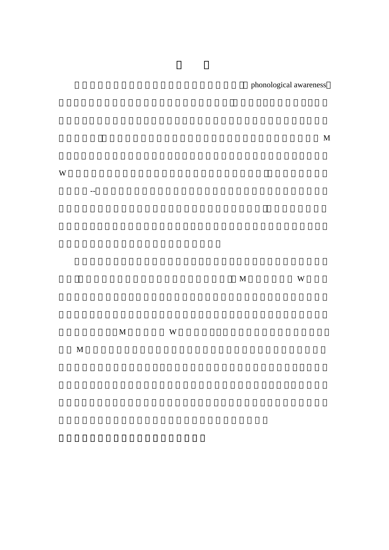phonological awareness



 $\mathbf M$ 

 $M$